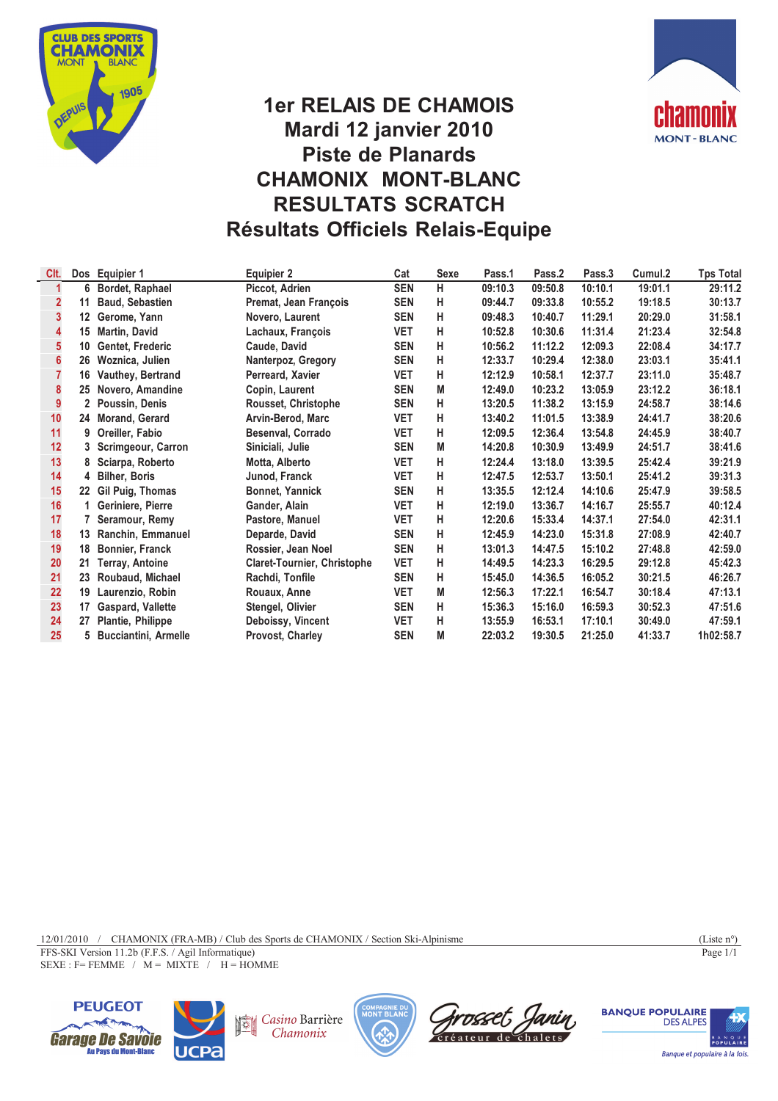



# **1er RELAIS DE CHAMOIS Mardi 12 janvier 2010 Piste de Planards CHAMONIX MONT-BLANC RESULTATS SCRATCH Résultats Officiels Relais-Equipe**

| Clt. |         | Dos Equipier 1              | <b>Equipier 2</b>                  | Cat        | <b>Sexe</b> | Pass.1  | Pass.2  | Pass.3  | Cumul.2 | <b>Tps Total</b> |
|------|---------|-----------------------------|------------------------------------|------------|-------------|---------|---------|---------|---------|------------------|
|      | 6       | Bordet, Raphael             | Piccot, Adrien                     | <b>SEN</b> | н           | 09:10.3 | 09:50.8 | 10:10.1 | 19:01.1 | 29:11.2          |
|      | 11      | <b>Baud, Sebastien</b>      | Premat, Jean François              | <b>SEN</b> | н           | 09:44.7 | 09:33.8 | 10:55.2 | 19:18.5 | 30:13.7          |
| 3    | $12 \,$ | Gerome, Yann                | Novero, Laurent                    | <b>SEN</b> | н           | 09:48.3 | 10:40.7 | 11:29.1 | 20:29.0 | 31:58.1          |
| 4    | 15      | <b>Martin, David</b>        | Lachaux, François                  | VET        | н           | 10:52.8 | 10:30.6 | 11:31.4 | 21:23.4 | 32:54.8          |
| 5    | 10      | Gentet, Frederic            | Caude, David                       | <b>SEN</b> | н           | 10:56.2 | 11:12.2 | 12:09.3 | 22:08.4 | 34:17.7          |
| 6    | 26      | Woznica, Julien             | Nanterpoz, Gregory                 | <b>SEN</b> | н           | 12:33.7 | 10:29.4 | 12:38.0 | 23:03.1 | 35:41.1          |
|      | 16      | Vauthey, Bertrand           | Perreard, Xavier                   | <b>VET</b> | н           | 12:12.9 | 10:58.1 | 12:37.7 | 23:11.0 | 35:48.7          |
| 8    | 25      | Novero, Amandine            | Copin, Laurent                     | <b>SEN</b> | М           | 12:49.0 | 10:23.2 | 13:05.9 | 23:12.2 | 36:18.1          |
| 9    | 2       | Poussin, Denis              | Rousset, Christophe                | <b>SEN</b> | н           | 13:20.5 | 11:38.2 | 13:15.9 | 24:58.7 | 38:14.6          |
| 10   | 24      | <b>Morand, Gerard</b>       | Arvin-Berod, Marc                  | <b>VET</b> | н           | 13:40.2 | 11:01.5 | 13:38.9 | 24:41.7 | 38:20.6          |
| 11   | 9       | Oreiller, Fabio             | Besenval, Corrado                  | <b>VET</b> | н           | 12:09.5 | 12:36.4 | 13:54.8 | 24:45.9 | 38:40.7          |
| 12   | 3       | Scrimgeour, Carron          | Siniciali, Julie                   | <b>SEN</b> | М           | 14:20.8 | 10:30.9 | 13:49.9 | 24:51.7 | 38:41.6          |
| 13   | 8       | Sciarpa, Roberto            | Motta, Alberto                     | <b>VET</b> | н           | 12:24.4 | 13:18.0 | 13:39.5 | 25:42.4 | 39:21.9          |
| 14   | 4       | <b>Bilher, Boris</b>        | Junod, Franck                      | <b>VET</b> | н           | 12:47.5 | 12:53.7 | 13:50.1 | 25:41.2 | 39:31.3          |
| 15   | 22      | Gil Puig, Thomas            | <b>Bonnet, Yannick</b>             | <b>SEN</b> | н           | 13:35.5 | 12:12.4 | 14:10.6 | 25:47.9 | 39:58.5          |
| 16   | 1       | Geriniere, Pierre           | Gander, Alain                      | <b>VET</b> | н           | 12:19.0 | 13:36.7 | 14:16.7 | 25:55.7 | 40:12.4          |
| 17   |         | Seramour, Remy              | Pastore, Manuel                    | <b>VET</b> | н           | 12:20.6 | 15:33.4 | 14:37.1 | 27:54.0 | 42:31.1          |
| 18   | 13      | Ranchin, Emmanuel           | Deparde, David                     | <b>SEN</b> | н           | 12:45.9 | 14:23.0 | 15:31.8 | 27:08.9 | 42:40.7          |
| 19   | 18      | Bonnier, Franck             | Rossier, Jean Noel                 | <b>SEN</b> | н           | 13:01.3 | 14:47.5 | 15:10.2 | 27:48.8 | 42:59.0          |
| 20   | 21      | Terray, Antoine             | <b>Claret-Tournier, Christophe</b> | <b>VET</b> | н           | 14:49.5 | 14:23.3 | 16:29.5 | 29:12.8 | 45:42.3          |
| 21   | 23      | Roubaud, Michael            | Rachdi, Tonfile                    | <b>SEN</b> | н           | 15:45.0 | 14:36.5 | 16:05.2 | 30:21.5 | 46:26.7          |
| 22   | 19      | Laurenzio, Robin            | Rouaux, Anne                       | <b>VET</b> | М           | 12:56.3 | 17:22.1 | 16:54.7 | 30:18.4 | 47:13.1          |
| 23   | 17      | Gaspard, Vallette           | Stengel, Olivier                   | <b>SEN</b> | н           | 15:36.3 | 15:16.0 | 16:59.3 | 30:52.3 | 47:51.6          |
| 24   | 27      | Plantie, Philippe           | Deboissy, Vincent                  | <b>VET</b> | н           | 13:55.9 | 16:53.1 | 17:10.1 | 30:49.0 | 47:59.1          |
| 25   | 5.      | <b>Bucciantini, Armelle</b> | Provost, Charley                   | <b>SEN</b> | М           | 22:03.2 | 19:30.5 | 21:25.0 | 41:33.7 | 1h02:58.7        |
|      |         |                             |                                    |            |             |         |         |         |         |                  |

12/01/2010 / CHAMONIX (FRA-MB) / Club des Sports de CHAMONIX / Section Ski-Alpinisme (Liste n°)

FFS-SKI Version 11.2b (F.F.S. / Agil Informatique)

 $SEXE : F = FEMME / M = MIXTE / H = HOMME$ 





Casino Barrière Chamonix







Page 1/1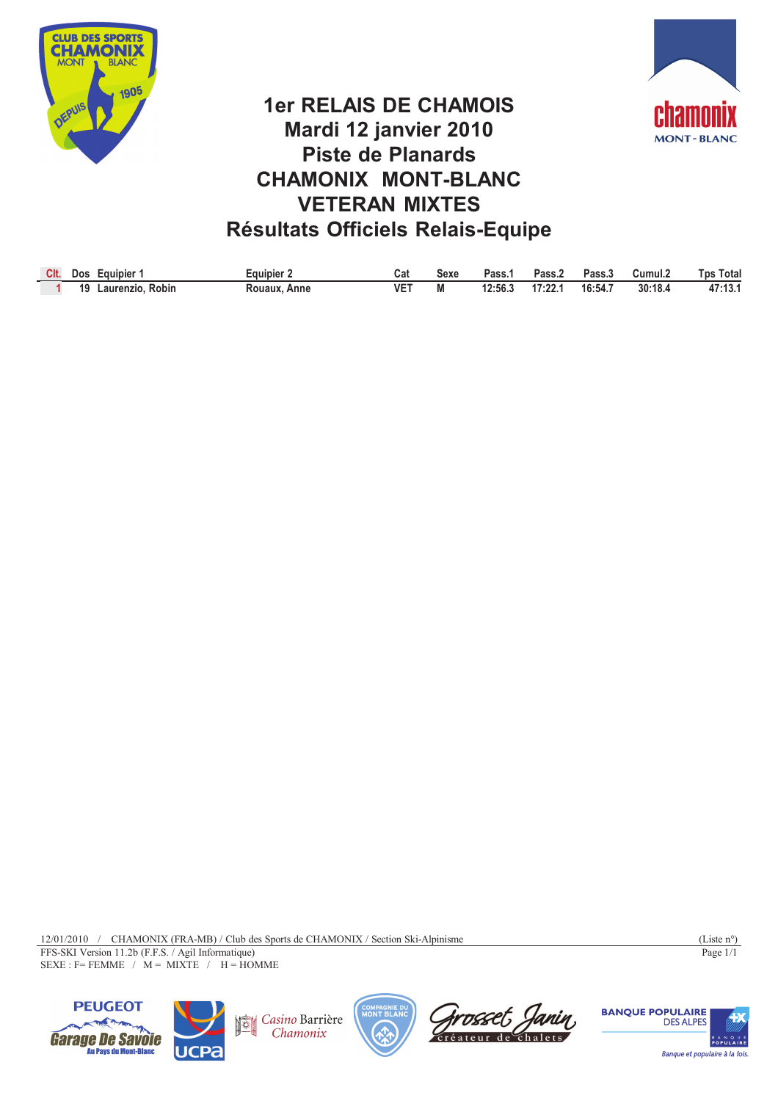



# **1er RELAIS DE CHAMOIS Mardi 12 janvier 2010 Piste de Planards CHAMONIX MONT-BLANC VETERAN MIXTES Résultats Officiels Relais-Equipe**

| Clt. | cauipier<br><b>Dos</b>    | Eauipier        | Cal | Sexe | Pass.   | Pass.   | Pass.J  | Cumul.2 | Total<br><b>Tos</b> |
|------|---------------------------|-----------------|-----|------|---------|---------|---------|---------|---------------------|
|      | 19<br>Robin<br>Laurenzio. | Rouaux.<br>Anne | VE. | М    | 12:56.3 | 17:22.1 | 16:54.7 | 30:18.4 | 47.13'<br>.         |

12/01/2010 / CHAMONIX (FRA-MB) / Club des Sports de CHAMONIX / Section Ski-Alpinisme (Liste n°) FFS-SKI Version 11.2b (F.F.S. / Agil Informatique)  $SEXE : F = FEMME / M = MIXTE / H = HOMME$ 

Page 1/1





Casino Barrière Chamonix



Grosset Janin

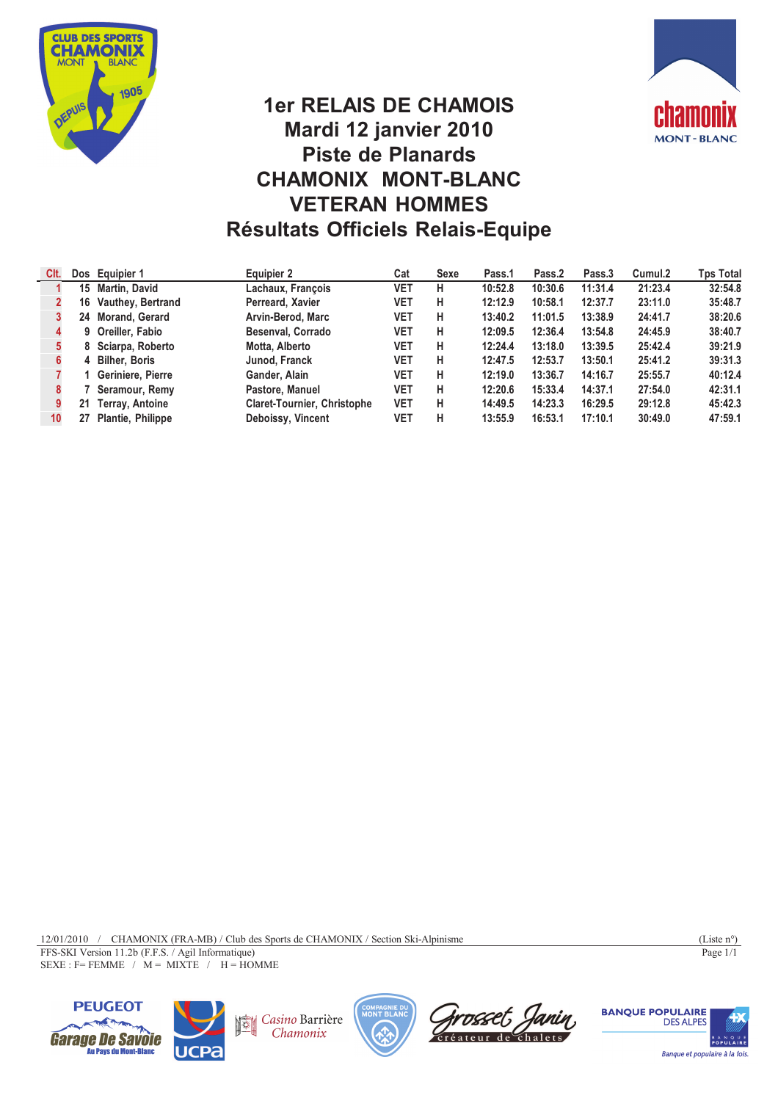



## **1er RELAIS DE CHAMOIS Mardi 12 janvier 2010 Piste de Planards CHAMONIX MONT-BLANC VETERAN HOMMES Résultats Officiels Relais-Equipe**

| CIt. |    | Dos Equipier 1           | Equipier 2                         | Cat        | Sexe | Pass.1  | Pass.2  | Pass.3  | Cumul.2 | Tps Total |
|------|----|--------------------------|------------------------------------|------------|------|---------|---------|---------|---------|-----------|
|      |    | 15 Martin, David         | Lachaux, François                  | VET        | н    | 10:52.8 | 10:30.6 | 11:31.4 | 21:23.4 | 32:54.8   |
|      | 16 | <b>Vauthey, Bertrand</b> | Perreard, Xavier                   | VET        | н    | 12:12.9 | 10:58.1 | 12:37.7 | 23:11.0 | 35:48.7   |
|      |    | 24 Morand, Gerard        | Arvin-Berod, Marc                  | VET        | н    | 13:40.2 | 11:01.5 | 13:38.9 | 24:41.7 | 38:20.6   |
|      |    | 9 Oreiller, Fabio        | Besenval, Corrado                  | VET        | н    | 12:09.5 | 12:36.4 | 13:54.8 | 24:45.9 | 38:40.7   |
|      |    | 8 Sciarpa, Roberto       | Motta, Alberto                     | VET        | н    | 12:24.4 | 13:18.0 | 13:39.5 | 25:42.4 | 39:21.9   |
|      |    | 4 Bilher, Boris          | Junod, Franck                      | VET        | н    | 12:47.5 | 12:53.7 | 13:50.1 | 25:41.2 | 39:31.3   |
|      |    | Geriniere, Pierre        | Gander, Alain                      | VET        | н    | 12:19.0 | 13:36.7 | 14:16.7 | 25:55.7 | 40:12.4   |
|      |    | Seramour, Remy           | Pastore, Manuel                    | VET        | н    | 12:20.6 | 15:33.4 | 14:37.1 | 27:54.0 | 42:31.1   |
|      | 21 | <b>Terray, Antoine</b>   | <b>Claret-Tournier, Christophe</b> | <b>VET</b> | н    | 14:49.5 | 14:23.3 | 16:29.5 | 29:12.8 | 45:42.3   |
| 10   |    | Plantie, Philippe        | Deboissy, Vincent                  | VET        | н    | 13:55.9 | 16:53.1 | 17:10.1 | 30:49.0 | 47:59.1   |

12/01/2010 / CHAMONIX (FRA-MB) / Club des Sports de CHAMONIX / Section Ski-Alpinisme (Liste n°) FFS-SKI Version 11.2b (F.F.S. / Agil Informatique)  $SEXE : F = FEMME / M = MIXTE / H = HOMME$ 

Page 1/1





Casino Barrière Chamonix





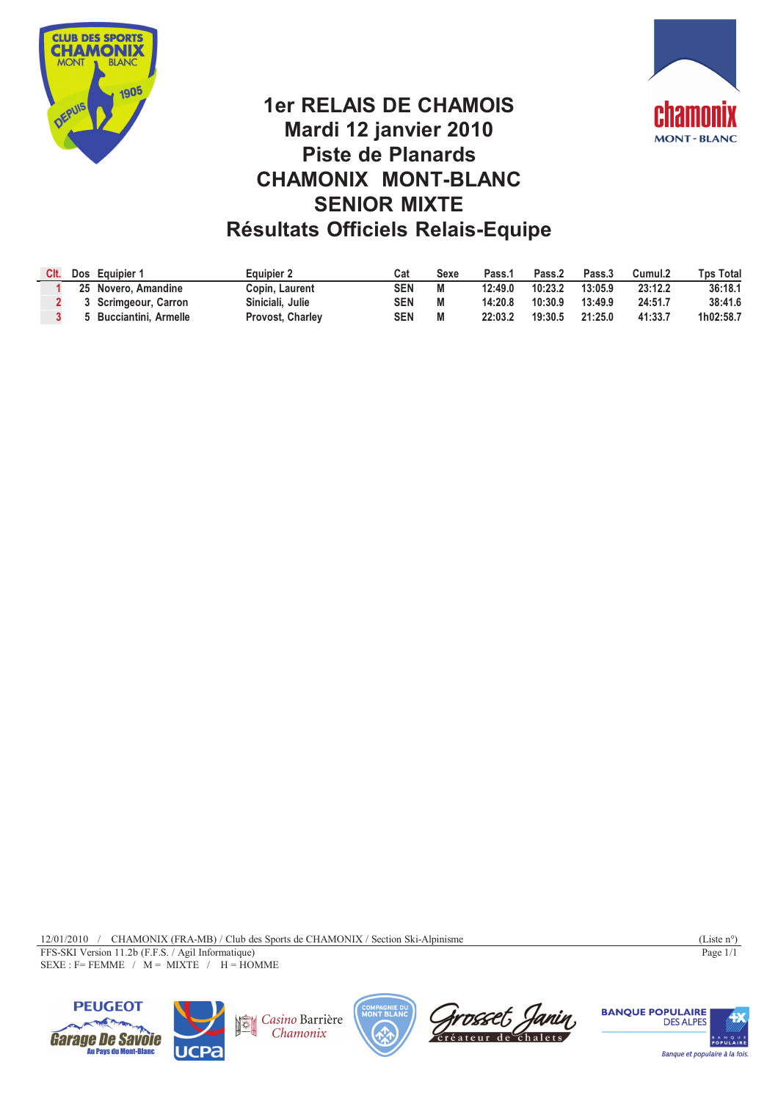



# **1er RELAIS DE CHAMOIS Mardi 12 janvier 2010 Piste de Planards CHAMONIX MONT-BLANC SENIOR MIXTE Résultats Officiels Relais-Equipe**

| CIt. | Dos Equipier 1              | Equipier 2       | Cat | Sexe | Pass. <sup>1</sup> | Pass.2  | Pass.3  | Cumul.2 | Tps Total |
|------|-----------------------------|------------------|-----|------|--------------------|---------|---------|---------|-----------|
|      | 25 Novero, Amandine         | Copin, Laurent   | SEN |      | 12:49.0            | 10:23.2 | 13:05.9 | 23:12.2 | 36:18.1   |
|      | 3 Scrimgeour, Carron        | Siniciali, Julie | SEN |      | 14:20.8            | 10:30.9 | 13:49.9 | 24:51.7 | 38:41.6   |
|      | <b>Bucciantini, Armelle</b> | Provost, Charley | SEN |      | 22:03.2            | 19:30.5 | 21:25.0 | 41:33.7 | 1h02:58.7 |

12/01/2010 / CHAMONIX (FRA-MB) / Club des Sports de CHAMONIX / Section Ski-Alpinisme (Liste n°) FFS-SKI Version 11.2b (F.F.S. / Agil Informatique)  $SEXE : F = FEMME / M = MIXTE / H = HOMME$ 

Page 1/1





Casino Barrière Chamonix